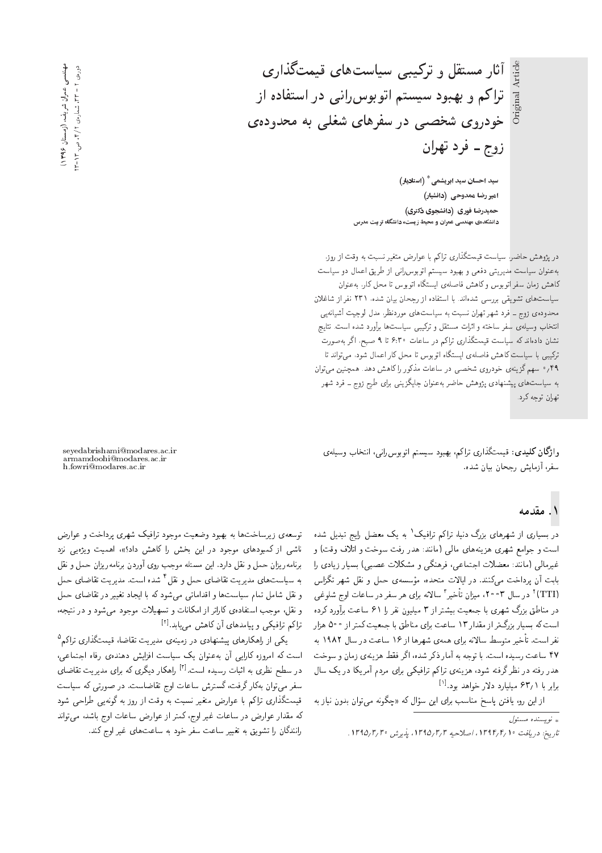اً آثار مستقل و ترکیبی سیاستهای قیمتگذاری  $\left| \frac{\mathbb{B}}{\mathbb{B}} \right|$ تراکم و بهبود سیستم اتوبوس ران<sub>ک</sub> در استفاده از  $\dot{m}$ خودروی شخصی در سفرهای شغلی به محدودهی زوج ــ فرد تهران

Original Article

سید احسان سید ابریشمی $^*$  (استادیار) امیررضا ممدوحی (دانشیار*)* حمیدرضا فوری (دانشجوی دکتری) دانشکدهی مهندسی عمران و محیط زیست، دانشگاه تربیت مدرس

در پژوهش حاضر، سیاست قیمتگذاری تراکم با عوارض متغیر نسبت به وقت از روز. بهعنوان سیاست مدیریتی دفعی و بهبود سیستم اتوبوس رانی از طریق اعمال دو سیاست كاهش زمان سفر اتوبوس وكاهش فاصلهى ايستكاه اتوبوس تا محل كار، به عنوان سیاست های تشویقی بررسی شدهاند. با استفاده از رجحان بیان شده، ۲۳۱ نفر از شاغلان محدوده ی زوج ــ فرد شهر تهران نسبت به سیاست های موردنظر، مدل لوجیت آشیانهیی انتخاب وسيلهى سفر ساخته و اثرات مستقل و تركيبي سياست ها برآورد شده است. نتايج نشان دادهاند که سیاست قیمتگذاری تراکم در ساعات ۴:۳۰ تا ۹ صبح، اگر بهصورت ترکیبی با سیاست کاهش فاصلهی ایستگاه اتوبوس تا محل کار اعمال شود، می تواند تا ۰/۴۹ سهم گزینهی خودروی شخصی در ساعات مذکور را کاهش دهد. همچنین می توان به سیاست های پیشنهادی پژوهش حاضر بهعنوان جایگزینی برای طرح زوج ــ فرد شهر تهران توجه كرد.

وا**ژگان كليدى:** قيمتگذارى تراكم، بهبود سيستم اتوبوس رانبي، انتخاب وسيلهى سفر، آزمایش رجحان بیان شده.

۱. مقدمه

در بسیاری از شهرهای بزرگ دنیا، تراکم ترافیک' به یک معضل رایج تبدیل شده<br>ا است و جوامع شهری هزینههای مالی (مانند: هدر رفت سوخت و اتلاف وقت) و غیرمالی (مانند: معضلات اجتماعی، فرهنگی و مشکلات عصبی) بسیار زیادی را وسسه ی حمل و نقل سهر ندراس<br>امید از دامات استفاد بابت أن پرداخت مىكنند. در ايالات متحده، مؤسسهى حمل و نقل شهر تگزاس (TTI)' در سال ۲۰۰۳، میزان تأخیر'' سالانه برای هر سفر در ساعات اوج شلوغی<br>ما با بارگیر می در مناطق بزرگ شهری با جمعیت بیشتر از ۳ میلیون نفر را ۶۱ ساعت برآورد کرده است که بسیار بزرگ تر از مقدار ۱۳ ساعت برای مناطق با جمعیت کمتر از ۵۰۰ هزار نفر است. تأخير متوسط سالانه براي همهي شهرها از ۱۶ ساعت در سال ۱۹۸۲ به ۴۷ ساعت رسیده است. با توجه به آمار ذکر شده، اگر فقط هزینهی زمان و سوخت هدر رفته در نظر گرفته شود، هزینهی تراکم ترافیکمی برای مردم آمریکا در یک سال برابر با ۶۳٫۱ میلیارد دلار خواهد بود.<sup>[۱]</sup><br>مارا

x@ R=}v uwO@ u=wD|t xvwoJ xm p= - wU u}= |=Q@ ?U=vt MU=B uDi=} 'wQ u}= R=

توسعهى زيرساخت ها به بهبود وضعيت موجود ترافيك شهرى پرداخت و عوارض ناشی از کمبودهای موجود در این بخش را کاهش داد؟»، اهمیت ویژهیی نزد برنامه ریزان حمل و نقل دارد. این مسئله موجب روی آوردن برنامه ریزان حمل و نقل به سیاستهای مدیریت تقاضای حمل و نقل ' شده است. مدیریت تقاضای حمل<br>مقاطعه اطلعت استفاده استفاده و مستخدم کردار استفاده مقاطعه استفاده و نقل شامل تمام سياست ها و اقداماتي مي شود كه با ايجاد تغيير در تقاضاي حمل و نقل، موجب استفاده ی کاراتر از امکانات و تسهیلات موجود می شود و در نتیجه، تراکم ترافیکی و پیامدهای آن کاهش مییابد.<sup>[۲]</sup><br>کے ماسل کا

یکمی از راهکارهای پیشنهادی در زمینهی مدیریت تقاضاً. قیمتگذاری تراکم "<br>کمپیار کاران آین میدان ک است که امروزه کارایی آن به عنوان یک سیاست افزایش دهندهی رفاه اجتماعی، در سطح نظری به اثبات رسیده است.<sup>[۲]</sup> راهکار دیگری که برای مدیریت تقاضای "CU= xO}UQ C=@F= x@ |Q\_v K]U QO CU=}U xm |DQwY QO "CU=[=kD Gw= C=a=U VQDUo 'CiQo Q=mx@ u=wD|t QiU قیمتگذاری تراکم با عوارض متغیر نسبت به وقت از روز به گونهیی طراحی شود که مقدار عوارض در ساعات غیر اوج، کمتر از عوارض ساعات اوج باشد، می تواند رانندگان را تشویق به تغییر ساعت سفر خود به ساعت های غیر اوج کند.

seyedabrishami@modares.ac.ir armamdoohi@modares.ac.ir h.fowri@modares.ac.ir

مهندسی عمران شریف، (زمستان ۱۳۹۶) مهندسی عمران شریف دورەی ۲ - ۲۳. شمارەی ۲/۲ من. ۲۳-۲ دورەي 1 + AT, شمارەي 1/2, ص. AT ـه (زمستان ۱۳۹۶) د

 $\int_{\mathbb{R}}$ نو بسنده مسئول  $_{\ast}$ تاريخ: دريافت ١٣٩٢/٢/ ١٣٩٥، اصلاحيه ٣/٥/٣/ ١٣٩٥. يذيرش ٢/ ١٣٩٥.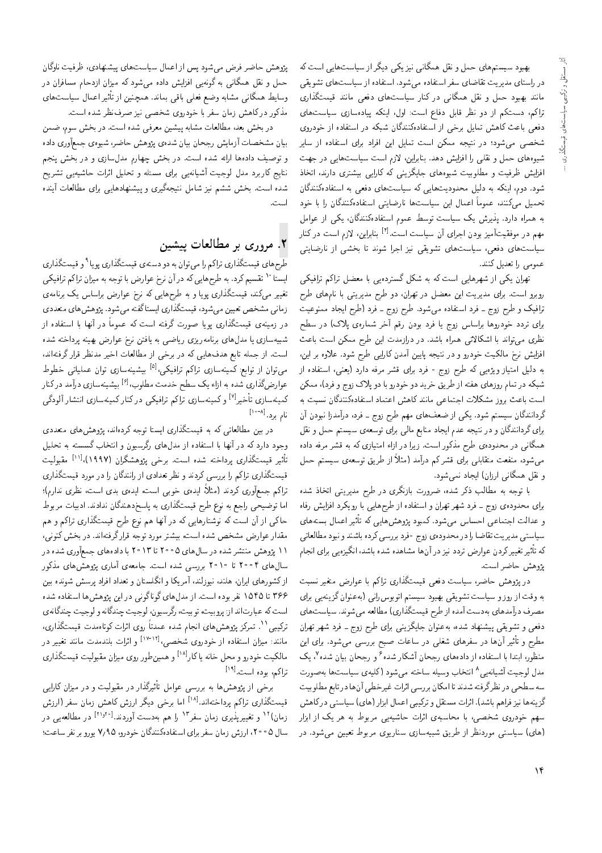بهبود سیستمهای حمل و نقل همگانی نیز یکی دیگر از سیاستهایی است که در راستای مدیریت تقاضای سفر استفاده میشود. استفاده از سیاست های تشویقی مانند بهبود حمل و نقل همگانی در کنار سیاستهای دفعی مانند قیمتگذاری تراکم، دستکم از دو نظر قابل دفاع است: اول، اینکه پیادهسازی سیاستهای دفعی باعث کاهش تمایل برخی از استفادهکنندگان شبکه در استفاده از خودروی شخصی میشود؛ در نتیجه ممکن است تمایل این افراد برای استفاده از سایر شیوههای حمل و نقلی را افزایش دهد. بنابراین، لازم است سیاستهایی در جهت افزایش ظرفیت و مطلوبیت شیوههای جایگزینی که کارایی بیشتری دارند، اتخاذ شود. دوم، اینکه به دلیل محدودیتهایی که سیاستهای دفعی به استفادهکنندگان تحمیل میکنند، عموماً اعمال این سیاستها نارضایتی استفادهکنندگان را با خود به همراه دارد. پذیرش یک سیاست توسط عموم استفادهکنندگان، یکی از عوامل مهم در موفقیتآمیز بودن اجرای آن سیاست است.<sup>[۴]</sup> بنابراین، لازم است در کنار سیاستهای دفعی، سیاستهای تشویقی نیز اجرا شوند تا بخشی از نارضایتی عمومى را تعديل كنند.

تهران یکی از شهرهایی است که به شکل گستردهیی با معضل تراکم ترافیکی روبرو است. برای مدیریت این معضل در تهران، دو طرح مدیریتی با نامهای طرح ترافیک و طرح زوج ـ فرد استفاده میشود. طرح زوج ـ فرد (طرح ایجاد ممنوعیت برای تردد خودروها براساس زوج یا فرد بودن رقم آخر شمارهی پلاک) در سطح نظری میتواند با اشکالاتی همراه باشد. در درازمدت این طرح ممکن است باعث افزایش نرخ مالکیت خودرو و در نتیجه پایین آمدن کارایی طرح شود. علاوه بر این، به دلیل امتیاز ویژهیی که طرح زوج - فرد برای قشر مرفه دارد (یعنی، استفاده از شبکه در تمام روزهای هفته از طریق خرید دو خودرو با دو پلاک زوج و فرد)، ممکن است باعث بروز مشکلات اجتماعی مانند کاهش اعتماد استفادهکنندگان نسبت به گردانندگان سیستم شود. یکی از ضعفهای مهم طرح زوج ــ فرد، درآمدزا نبودن آن برای گردانندگان و در نتیجه عدم ایجاد منابع مالی برای توسعهی سیستم حمل و نقل همگانی در محدودهی طرح مذکور است. زیرا در ازاء امتیازی که به قشر مرفه داده می شود، منفعت متقابلی برای قشرکم درآمد (مثلاً از طریق توسعهءی سیستم حمل و نقل همگانی ارزان) ایجاد نمی شود.

با توجه به مطالب ذکر شده، ضرورت بازنگری در طرح مدیریتی اتخاذ شده برای محدوده ی زوج ـ فرد شهر تهران و استفاده از طرح هایی با رویکرد افزایش رفاه و عدالت اجتماعی احساس میشود. کمبود پژوهشهایی که تأثیر اعمال بستههای سیاستبی مدیریت تقاضا را در محدودهی زوج -فرد بررسی کرده باشند و نبود مطالعاتی که تأثیر تغییرکردن عوارض تردد نیز در آنها مشاهده شده باشد، انگیزهیی برای انجام پژوهش حاضر است.

در پژوهش حاضر، سیاست دفعی قیمتگذاری تراکم با عوارض متغیر نسبت به وقت از روز و سیاست تشویقی بهبود سیستم اتوبوس رانبی (به عنوان گزینهیی برای مصرف درآمدهای بهدست آمده از طرح قیمتگذاری) مطالعه میشوند. سیاست های دفعي و تشويقي پيشنهاد شده، بهعنوان جايگزيني براي طرح زوج ـ فرد شهر تهران مطرح و تأثیر آن ها در سفرهای شغلبی در ساعات صبح بررسی می شود. برای این منظور، ابتدا با استفاده از دادههای رجحان آشکار شده<sup>۶</sup> و رجحان بیان شده<sup>۷</sup>، یک مدل لوجيت أشيانهيي^ انتخاب وسيله ساخته مىشود (كليهي سياستها بهصورت سه سطحی در نظرگرفته شدند تا امکان بررسی اثرات غیرخطی آنها در تابع مطلوبیت گزینهها نیز فراهم باشد). اثرات مستقل و ترکیبی اعمال ابزار (های) سیاستی درکاهش سهم خودروی شخصی، با محاسبهی اثرات حاشیهیی مربوط به هر یک از ابزار (های) سیاستی موردنظر از طریق شبیهسازی سناریوی مربوط تعیین می شود. در

پژوهش حاضر فرض می شود پس از اعمال سیاستهای پیشنهادی، ظرفیت ناوگان حمل و نقل همگانی به گونهیی افزایش داده میشود که میزان ازدحام مسافران در وسابط همگانی مشابه وضع فعلی باقی بماند. همچنین از تأثیر اعمال سیاستهای مذکور در کاهش زمان سفر با خودروی شخصی نیز صرفنظر شده است.

در بخش بعد، مطالعات مشابه پیشین معرفی شده است. در بخش سوم، ضمن بیان مشخصات آزمایش رجحان بیان شدهی پژوهش حاضر، شیوهی جمعآوری داده و توصیف دادهها ارائه شده است. در بخش چهارم مدل سازی و در بخش پنجم نتایج کاربرد مدل لوجیت آشیانهیی برای مسئله و تحلیل اثرات حاشیهیی تشریح شده است. بخش ششم نیز شامل نتیجهگیری و پیشنهادهایی برای مطالعات آینده است.

# ۲. مروری بر مطالعات پیشین

طرح هاي قيمتگذاري تراكم را مي توان به دو دستهي قيمتگذاري پويا<sup>۹</sup> و قيمتگذاري ایستا `` تقسیم کرد. به طرح هایی که در آن نرخ عوارض با توجه به میزان تراکم ترافیکی تغییر میکند، قیمتگذاری پویا و به طرحهایی که نرخ عوارض براساس یک برنامهی زمانی مشخص تعیین می شود، قیمتگذاری ایستاگفته می شود. پژوهش های متعددی در زمینهی قیمتگذاری پویا صورت گرفته است که عموماً در آنها با استفاده از شبیهسازی یا مدلهای برنامه٫یزی ریاضیم به یافتن نرخ عوارض بهینه پرداخته شده است. از جمله تابع هدفهایی که در برخی از مطالعات اخیر مدنظر قرار گرفتهاند، میتوان از توابع: کمینهسازی تراکم ترافیکی،<sup>[۵]</sup> بیشینهسازی توان عملیاتی خطوط عوارضگذاری شده به ازاء یک سطح خدمت مطلوب،<sup>[۶]</sup> بیشینهسازی درآمد درکنار کمینهسازی تأخیر<sup>ا۲]</sup> و کمینهسازی تراکم ترافیکی در کنار کمینهسازی انتشار آلودگی نام برد.<sup>[۸۰۰۸</sup>]

در بین مطالعاتی که به قیمتگذاری ایستا توجه کردهاند، پژوهش های متعددی وجود دارد که در آنها با استفاده از مدلهای رگرسیون و انتخاب گسسته به تحلیل تأثير قيمتگذاري پرداخته شده است. برخي پژوهشگران (۱۹۹۷)،<sup>[۱۱]</sup> مقبوليت قیمتگذاری تراکم را بررسی کردند و نظر تعدادی از رانندگان را در مورد قیمتگذاری تراكم جمعآوري كردند (مثلاً، ايدهي خوبي است، ايدهي بدي است، نظري ندارم)؛ اما توضیحی راجع به نوع طرح قیمتگذاری به پاسخدهندگان ندادند. ادبیات مربوط حاکی از آن است که نوشتارهایی که در آنها هم نوع طرح قیمتگذاری تراکم و هم مقدار عوارض مشخص شده است، بیشتر مورد توجه قرارگرفتهاند. در بخش کنونی، ۱۱ پژوهش منتشر شده در سال های ۲۰۰۵ تا ۲۰۱۳ با دادههای جمعآوری شده در سال۵ای ۴ ° ۲۰ تا ۲۰۱۰ بررسی شده است. جامعه ی آماری پژوهش۵ای مذکور ازکشورهای ایران، هلند، نیوزلند، آمریکا و انگلستان و تعداد افراد پرسش شونده بین ۳۶۶ تا ۱۵۴۵ نفر بوده است. از مدل های گوناگونی در این پژوهش ها استفاده شده است كه عبارتاند از: پروبيت، توبيت، رگرسيون، لوجيت چندگانه و لوجيت چندگانه ي ترکیبی `` . تمرکز پژوهش های انجام شده عمدتاً روی اثرات کوتاهمدت قیمتگذاری، مانند: میزان استفاده از خودروی شخصبی،<sup>[۱۲-۱۲]</sup> و اثرات بلندمدت مانند تغییر در مالکیت خودرو و محل خانه یاکار<sup>[۱۸]</sup> و همین *طور روی میزان مقبولیت قیمتگذاری* تراكم، بوده است. <sup>[۱۹]</sup>

برخی از پژوهشها به بررسی عوامل تأثیرگذار در مقبولیت و در میزان کارایی قیمتگذاری تراکم پرداختهاند.<sup>[۱۸]</sup> اما برخی دیگر ارزش کاهش زمان سفر (ارزش زمان)<sup>۱۲</sup> و تغییرپذیری زمان سفر<sup>۱۳</sup> را هم بهدست آوردند.<sup>[۲۱٫۲۰]</sup> در مطالعهیی در سال ۲۰۰۵، ارزش زمان سفر برای استفادهکنندگان خودرو، ۷٫۹۵ یورو بر نفر ساعت؛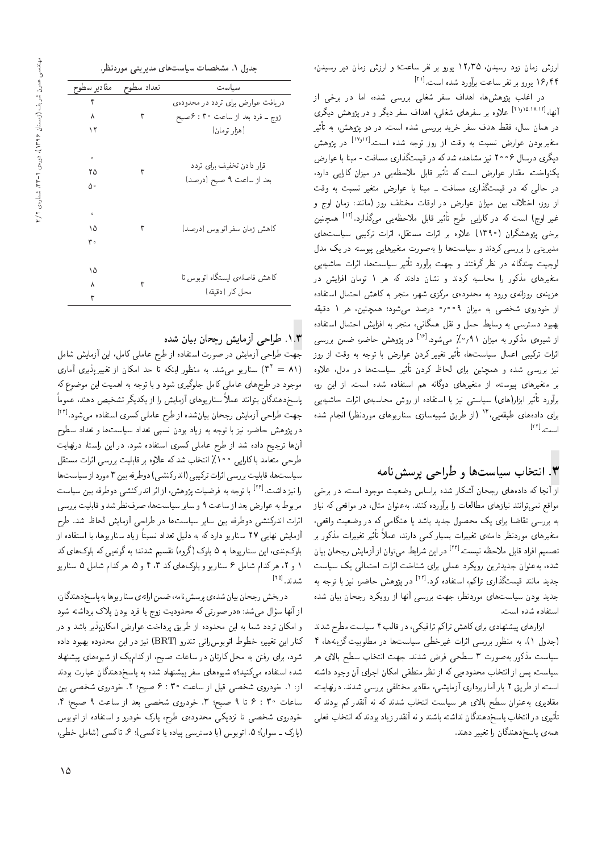در اعلب پژوهس ها، اهداف سقر سعلی بررسی سده، اما در برخی از<br>۱۲۱۰۱۵٬۱۷۱۲ او آنها،<sup>[۱۸٬۱۷٬۱۲] علاوه بر سفرهای شغلبی، اهداف سفر دیگر و در پژوهش دیگری<br>"</sup> ىيىر<br>. در همان سال، فقط هدف سفر خرید بررسی شده است. در دو یژوهش، به تأثیر متغیربودن عوارض نسبت به وقت از روز توجه شده است.<sup>[۱۷</sup>٬<sup>۱۷</sup> در پژوهش<br>گرفت این عمد ۲ زیر دارد مدیر میشود؟ دیگری درسال ۲۰۰۶ نیز مشاهده شد که در قیمتگذاری مسافت - مینا با عوارض در حالی که در قیمتگذاری مسافت ــ مبنا با عوارض متغیر نسبت به وقت یکنواخت، مقدار عوارض است که تأثیر قابل ملاحظه پی در میزان کارایی دارد، از روز، اختلاف بین میزان عوارض در اوقات مختلف روز (مانند: زمان اوج و w Gw= u=tR %Ovv=t RwQ hrDNt C=kw= QO ZQ=wa u=R}t u}@ hqDN= 'RwQ R= [12] -=D KQ] |}=Q=m QO xm CU= Gw= Q}e نیز قابل ملاحظهیی می∪دارد.<br>افاقیت مقابله ایمان و م برخی پروهسدران (۱۱۱۰ علاوه بر ایراب مستقل، ایراب ترتیبی سیاستهای<br>مسیحات استکان است اطلاع است است. مدیریتی را بررسی کردند و سیاستها را به صورت متغیرهایی پیوسته در یک مدل بیر سیاست ها، آنرات حاسیه یی<br>مصر محمد محمد است ا لوجیت چندگانه در نظر گرفتند و جهت برآورد تأثیر سیاستها، اثرات حاشیه یی متغیرهای مدنور را محاسبه نردند و نسان دادند نه هر ۱ نومان افزایس در<br>مسایر است هزینهی روزانهی ورود به محدودهی مرکزی شهر، منجر به کاهش احتمال استفاده<br>از خودروی شخصبی به میزان ۹ ° ° / ° درصد میشود؛ همچنین، هر ۱ دقیقه xk}kO 1 Qy 'u}vJty &OwW|t OYQO 0 009 u=R}t x@ |YNW |wQOwN R= xO=iDU= p=tDL= V}=Ri= x@ QHvt '|v=oty pkv w ptL \}=Uw x@ |UQDUO Ow@y@ از شیوهی مذکور به میزان ۰٫۹۱ میشود.<sup>[۱۶]</sup> در پژوهش حاضر، ضمن بررسی<br>افاقیت ک نیر تعییر دردن عوارض با نوجه به وقب از روز<br>جماعات کوچه اثرات ترکیبی اعمال سیاستها، تأثیر تغییر کردن عوارض با توجه به وقت از روز نیز بررسی شده و همچنین برای لحاظ دردن تاتیر سیاستها در مدل، علاوه<br>مسیحی استان بر متغیرهای پیوسته، از متغیرهای دوگانه هم استفاده شده است. از این رو، براورد تاتیر ابزار(های) سیاستی نیز با استفاده از روش محاسبهی اترات حاشیهیی<br>این این این اینکه این این این اینکه این اینکه این اینکه اینکه اینکه اینکه برای دادههای طبقهیی،'' (از طریق شبیهسازی سناریوهای موردنظر) انجام شده<br>۱۰ - ۱۲۱۱ است.<sup>[11]</sup><br>"

# $\mathbf{v}$ . انتخاب سیاستها و طراحی پرسش نامه

<mark>از آنجا که دادههای رجحان آشکار شده بر</mark>لساس وضعیت موجود است، در برخی<br>مواقع نمی توانند نیازهای مطالعات را برآورده کنند. بهعنوان مثال، در مواقعی که نیاز R=}v xm |ak=wt QO 'p=Ft u=wvax@ "Ovvm xOQw;Q@ =Q C=ar=]t |=yR=}v Ovv=wD|tv `k=wt '|ak=w C}a[w QO xm |t=ovy =} OW=@ O}OH pwYLt l} |=Q@ =[=kD |UQQ@ x@ Q@ QwmPt C=Q}}eD Q}F -=D ,qta 'OvQ=O |tm Q=}U@ C=Q}}eD |xvt=O Q\_vOQwt |=yQ}eDt تصميم افراد قابل ملاحظه نيست.<sup>[۲۲]</sup> در اين شرايط مى توان از آزمايش رجحان بيان<br>من مصطفحات المصنعات شده، به عنوان جدیدترین رویکرد عملمی برای شناخت اثرات احتمال<sub>ی</sub> یک سیاست x@ xHwD =@ R}v 'Q[=L VywSB QO "OQm xO=iDU= 'sm =QD |Q=PoCt}k Ovv=t O}OH جدید مانند قیمتگذاری تراکم، استفاده کرد.<sup>[۲۲]</sup> در پژوهش حاضر، نیز با توجه به جدید بودن سیاست های موردنظر، جهت بررسی آنها از رویدرد رجحان بیان سده<br>استفاد است استفاده شده است.<br>ابزارهای بیشنهادی برای کاهش تراکم ترافیکی، در قالب ۴ سیاست مطرح شدند

ابزارهای پیستهادی برای ناهس نزانم برافیخی، در قالب ۱ سیاست مطرح سدند<br>مسجد استخدام الله استخدام استخدام استخدام استخدام استخدام استخدام اجدول ۱۰، به منطور بررسی آنرات عیرحطی سیاست، در مصروبیت دریدها ۱۰<br>استان از کارول استان به سومت تاریخ استان استان استان سیاست مذکور بهصورت ۳ سطحی فرض شدند. جهت انتخاب سطح بالای هر<br>سیاست، پس از انتخاب محدودهیم که از نظر منطقی امکان اجرای آن وجود داشته xDW=O OwHw u; |=QH= u=mt= |k]vt Q\_v R= xm |}xOwOLt ?=NDv= R= TB 'CU=}U است، از طریق ۱ بار آماربرداری ازمایسی، مقادیر محتلفی بزرسی سدند. دریهایت،<br>- "المطلب المطلب الحداد المطلب المطلب المطلب المطلب المطلب المطلب المطلب مقادیری به عنوان سطح بالای هر سیاست انتخاب شدند که نه آنقدر کم بودند که تأثيري در انتخاب پاسخدهندگان نداشته باشند و نه انقدر زياد بودند که انتخاب فعلي<br>استاد است کار است همهى پاسخدهندگان را تغيير دهند.

| جدول ۱. مشخصات سیاستهای مدیریتی موردنظر. |  |
|------------------------------------------|--|
|------------------------------------------|--|

| مقادير سطوح | تعداد سطوح | سياست                             |
|-------------|------------|-----------------------------------|
| ۴           |            | دریافت عوارض برای تردد در محدودهی |
| ٨           | ٣          | زوج ــ فرد بعد از ساعت ۴۰: ۶صبح   |
| ۱۲          |            | (هزار تومان)                      |
|             |            |                                   |
| $\mathbf 0$ |            |                                   |
| ۲۵          | ٣          | قرار دادن تخفیف برای تردد         |
| ۵۰          |            | بعد از ساعت ۹ صبح (درصد)          |
|             |            |                                   |
| $\mathbf 0$ |            |                                   |
| ١۵          | ٣          | کاهش زمان سفر اتوبوس (درصد)       |
| ۳.          |            |                                   |
|             |            |                                   |
| ۱۵          |            |                                   |
| ٨           | ٣          | کاهش فاصلهی ایستگاه اتوبوس تا     |
| ٣           |            | محل کار (دقیقه)                   |
|             |            |                                   |

۰۱.۳. طراحی آزمایش رجحان بیان شده<br>جهت طراحی آزمایش در صورت استفاده از طرح عاملی کامل، این آزمایش شامل جهب طراحی آزمایس در صورت استفاده از طرح عاملی نامل، این آزمایس سامل<br>۱۱۱، سیاسی سیاست میسین این این ساخت این این این این آبا (۳<sup>۲</sup> = ۸۱) سناریو میشد. به منظور اینکه تا حد امکان از تغییرپذیری آماری<br>م<sup>ا</sup> موجود در طرح های عاملی کامل جلوگیری شود و با توجه به اهمیت این موضوع که یاسخدهندگان بتوانند عملاً سناریوهای آزمایش را از یکدیگر تشخیص دهند، عموماً جهت طراحی آزمایش رجحان بیانشده از طرح عاملی کسری استفاده میشود.<sup>[۲۲]</sup><br>. در يژوهش حاضر، نيز با توجه به زياد بودن نسببي تعداد سياستها و تعداد سطوح آن ها ترجیح داده شد از طرح عاملی کسری استفاده شود. در این راستا، درنهایت<br>طرحی متعامد با کارایی ممعلی( انتخاب شدکه علاوه بر قابلیت بررسی اثرات مستقل سیاست ها، قابلیت بررسی اثرات ترکیبی (اندرکنشی) دوطرفه بین ۳ مورد از سیاست ها سیاست ها، قابلیت بررسی اثرات ترتیبی ااندرنستی ( دوطرفه بین ۱۰ مورد از سیاست ها<br>این ماده مطلقه از این مستقل است. را نیز داشت.<sup>[۲۲]</sup> با توجه به فرضیات پژوهش، از اثر اندرکنشمی دوطرفه بین سیاست<br>ما مربوط به عوارض بعد از ساعب ۱ و سایر سیاست ها، صرف نظر سد و قابلیت بررسی<br>ادامی این مربی KQ] "OW ^=Lr V}=tR; |L=Q] QO =yCU=}U Q}=U u}@ xiQ]wO |WvmQOv= C=QF= آزمایش نهایی ۲۷ سناریو دارد که به دلیل تعداد نسبتاً زیاد سناریوها، با استفاده از بلوکبندی، این سناریوها به ۵ بلوک (گروه) تقسیم شدند؛ به گونهیی که بلوکهای کد ۱ و ۲، هرکدام شامل ۶ سناریو و بلوکهای کد ۳، ۴ و ۵، هرکدام شامل ۵ سناریو شدند.<sup>[14]</sup><br>.

در بخش رجحان بیان شده ی پرسش نامه، ضمن ارائهی سنار یوها به پاسخ دهندگان، از آنها سوال می سد: «در صورتی ته محدودیت زوج یا فرد بودن پلاک برداسته سود<br>سایر کاریکی میدانید و استفاده و امکان تردد شما به این محدوده از طریق برداخت عوارض امکان بذیر باشد و در و آمدان بردد سما به این محدوده از طریق پرداخت عوارض آمدان پدیر باسد و در<br>منابعت مسئط ایجاد سطح از سود (DDT) مسئل OOD کنار این تغییر، خطوط اتوبوس(نی تندرو (BRT) نیز در این محدوده بهبود داده<br>. شود، برای رفتن به محل کارتان در ساعات صبح، از کدامیک از شیوههای پیشنهاد شده استفاده میکنید؟» شیوههای سفر پیشنهاد شده به پاسخدهندگان عبارت بودند از: ١. خودروى شخصى قبل از ساعت ٣٠ : ۶ صبح؛ ٢. خودروى شخصى بين ساعات ٩ : ۶ تا ٩ صبح؛ ٣. خودروى شخصى بعد از ساعت ٩ صبح؛ ۴. خودروی شخصی تا نزدیکی محدودهی طرح، پارک خودرو و استفاده از اتوبوس (پارک ــ سوار)؛ ۵. اتوبوس (با دسترسی پیاده یا تاکسی)؛ ۶. تاکسی (شامل خطی،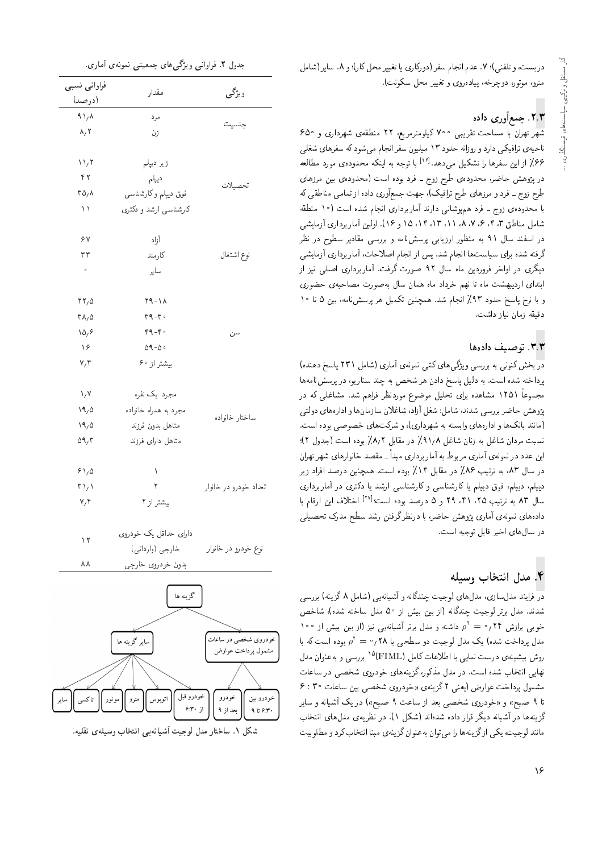در بست، و تلفني)؛ ٧. عدم انجام سفر (دوركاري يا تغيير محل كار)؛ و ٨. ساير (شامل مترو، موتور، دوچرخه، پیادەروی و تغییر محل سکونت).

## ۲.۳. جمعآوری داده

شهر تهران با مساحت تقریبی °۷۰ کیلومترمربع، ۲۲ منطقهی شهرداری و °۶۵ ناحیهی ترافیکی دارد و روزانه حدود ۱۳ میلیون سفر انجام میشود که سفرهای شغلی ۶۶٪ از این سفرها را تشکیل میدهد.<sup>[۲۶]</sup> با توجه به اینکه محدودهی مورد مطالعه<br>ا در پژوهش حاضر، محدودهی طرح زوج ــ فرد بوده است (محدودهی بین مرزهای طرح زوج ــ فرد و مرزهاى طرح ترافيک)، جهت جمعأورى داده از تمامى مناطقى كه با محدوده ی زوج ـ فرد هم پوشانی دارند آمار برداری انجام شده است (۱۰ منطقه شامل مناطق ۳، ۴، ۶، ۷، ۸، ۱۱، ۱۳، ۱۵، ۱۵ و ۱۶). اولین آماربرداری آزمایشی در اسفند سال ۹۱ به منظور ارزیابی پرسشiامه و بررسی مقادیر سطوح در نظر گرفته شده برای سیاست ها انجام شد. پس از انجام اصلاحات، آماربرداری آزمایشی دیگری در اواخر فروردین ماه سال ۹۲ صورت گرفت. آماربرداری اصلی نیز از ابتداى ارديبهشت ماه تا نهم خرداد ماه همان سال بهصورت مصاحبهى حضورى و با نرخ پاسخ حدود ۹۳٪ انجام شد. همچنین تکمیل هر پرسشiامه، بین ۵ تا ۱۰ دقيقه زمان نياز داشت.

### ٣.٣. توصيف دادهها

هی نمونهی آماری (سامل ۱۱۱ پاسخ دهنده)<br>محمد شنسی است: است: مثل استان در بخش کنونی به بررسی ویژگیهای کمّی نمونهی آماری (شامل ۲۳۱ پاسخ دهنده) پرداخته سده است. به دلیل پاسخ دادن هر سخص به چند ستاریو، در پرسس نامهها<br>مقال محمد میکند و تصالیف است. مجموعاً ۱۲۵۱ مشاهده برای تحلیل موضوع موردنظر فراهم شد. مشاغلی که در پژوهش حاضر بررسی شدند، شامل: شغل آزاد، شاغلان سازمانها و ادارههای دولتی (مانند بانک ها و ادارههای وابسته به شهرداری)، و شرکت های خصوصی بوده است. نسبت مردان شاغل به زنان شاغل ۹۱٫۸٪ در مقابل ۸٫۲٪ بوده است (جدول ۲)؛ این عدد در نمونهى آمارى مربوط به آماربردارى مبدأ ــ مقصد خانوارهاى شهر تهران در سال ۸۳، به ترتیب ۸۶٪ در مقابل ۱۴٪ بوده است. همچنین درصد افراد زیر دیپلم، دیپلم، فوق دیپلم یا کارشناسی و کارشناسی ارشد یا دکتری در آماربرداری سال ۸۳ به ترتیب ۲۵، ۴۹، ۴۹ و ۵ درصد بوده است؛<sup>[۲۷]</sup> اختلاف این ارقام با<br>با به باید نیست آباد میدهد به این به باید گینیم همده باید باید به به باید دادههای نمونهی آماری پژوهش حاضر، با درنظرگرفتن رشد سطح مدرک تحصیلی در سال های اخیر قابل توجیه است.

## ۴. مدل انتخاب وسیله

در فرایند مدلmازی، مدل۱های لوجیت چندگانه و آشیانه یی (شامل ۸ گزینه) بررسی<br>شدند. مدل برتر لوجیت چندگانه (از بین بیش از ۵۰ مدل ساخته شده)، شاخص XN=W 'xOW xDN=U pOt 50 R= V}@ u}@ R= xv=oOvJ C}Hwr QDQ@ pOt "OvOW 100 خوبی برازش ۲۴ م $\rho^{\tau}=\rho^{\tau}(\tau)$  داشته و مدل برتر آشیانه یی نیز (از بین بیش از ۱۰۰<br>سال ساخت مدل کرسکت است مدل پرداخت شده) یک مدل لوجیت دو سطحی با ۰٫۲۸ و = ۰٫۲۸ بوده است که با<br>مدل پرداخت شده) در است اطلاع است کامل (۱۳۸۸–۱۹۸۲ روش بیشینه، درست نمایی با اطلاعات کامل (FIML)°' بررسی و به عنوان مدل<br>دار باید داریستان میدان نهایی اسحاب سده است. در مدل مددور، دریشهای خودروی سخصبی در ساعات<br>مسلمات است است از دریافت کنید. مشمول پرداخت عوارض (یعنی ۲ گزینهی «خودروی شخصی بین ساعات °۲ : ۶<br>طرفی مصدر است تا ۹ صبح» و «خودروی شخصی بعد از ساعت ۹ صبح») در یک آشیانه و سایر گزینهها در آشیانه دیگر قرار داده شدهاند (شکل ۱). در نظریهی مدل های انتخاب مانند لوجیت، یکی ازگزینهها را می توان به عنوان گزینهی مبنا انتخاب کرد و مطلوبیت

| جدول ۲. فراوانی ویژگی۵های جمعیتی نمونهی آماری. |  |  |  |  |  |
|------------------------------------------------|--|--|--|--|--|
|------------------------------------------------|--|--|--|--|--|

|                                 | جدول ۲. فراوانی ویژگی۵ای جمعیتی نمونهی اماری. |                                            |
|---------------------------------|-----------------------------------------------|--------------------------------------------|
| فراوانى نسبى                    | مقدار                                         | ویژگی                                      |
| (درصد)                          |                                               |                                            |
| $1/\lambda$                     | مرد                                           | جنسيت                                      |
| $\lambda, \tau$                 | زن                                            |                                            |
|                                 |                                               |                                            |
| $\mathcal{N}$                   | زیر دیپلم                                     |                                            |
| ۴۲                              | ديپلم                                         | تحصيلات                                    |
| $r \Delta/\lambda$              | فوق دیپلم وکارشناسی                           |                                            |
| ۱١                              | کارشناسی ارشد و دکتری                         |                                            |
| ۶٧                              | آزاد                                          |                                            |
| ٣٣                              | كارمند                                        | نوع اشتغال                                 |
| $\circ$                         | ساير                                          |                                            |
| $rr, \Delta$                    | $Y - \lambda$                                 |                                            |
| $\mathsf{r}_{\Lambda/\Delta}$   | $r - r$ .                                     |                                            |
| 10,9                            | $4 - 5$                                       | سن                                         |
| $\lambda^{\rho}$                | $09 - 0$                                      |                                            |
| $V, \mathcal{F}$                | بیشتراز ۶۰                                    |                                            |
| $\lambda/\lambda$               | مجرد، یک نفره                                 |                                            |
| 19,0                            | مجرد به همراه خانواده                         |                                            |
| ۱۹٫۵                            | متاهل بدون فرزند                              | ساختار خانواده                             |
| 09/7                            | متاهل داراى فرزند                             |                                            |
|                                 |                                               |                                            |
| 91/0                            | ١                                             |                                            |
| $\mathsf{r}\setminus\mathsf{r}$ | ٢                                             | تعداد خودرو در خانوار                      |
| $V/\mathfrak{h}$                | بيشتر از ٢                                    |                                            |
| ۱۲                              | دارای حداقل یک خودروی                         |                                            |
|                                 | خارجي (وارداتي)                               | نوع خودرو در خانوار                        |
| ۸۸                              | بدون خودروى خارجي                             |                                            |
|                                 |                                               |                                            |
|                                 | گزینه ها                                      |                                            |
|                                 |                                               |                                            |
|                                 | سایر گزینه ها                                 | خودروي شخصي در ساعان<br>مشمول پرداخت عوارض |
|                                 |                                               |                                            |



<sup>16</sup>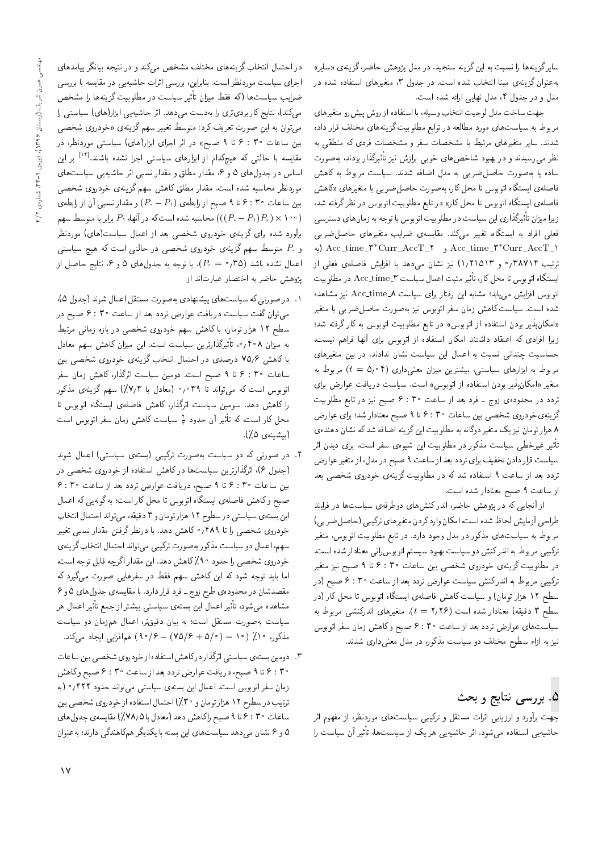سایر گزینهها را نسبت به این گزینه سنجید. در مدل پژوهش حاضر، گزینهی «سایر» بهءنوان گزینهی مبنا انتخاب شده است. در جدول ۳، متغیرهای استفاده شده در مدل و در جدول ۴، مدل نهایی ارائه شده است.

جهت ساخت مدل لوجيت انتخاب وسيله، با استفاده از روش پيش رو متغيرهاي مربوط به سیاست های مورد مطالعه در توابع مطلوبیت گزینه های مختلف قرار داده شدند. سایر متغیرهای مرتبط با مشخصات سفر و مشخصات فردی که منطقی به نظر می رسیدند و در بهبود شاخصهای خوبی برازش نیز تأثیرگذار بودند، بهصورت ساده یا بهصورت حاصل ضربی به مدل اضافه شدند. سیاست مربوط به کاهش فاصلهی ایستگاه اتوبوس تا محل کار، بهصورت حاصل ضربی با متغیرهای «کاهش فاصلهی ایستگاه اتوبوس تا محل کار» در تابع مطلوبیت اتوبوس در نظرگرفته شد. زیرا میزان تأثیرگذاری این سیاست در مطلوبیت اتوبوس با توجه به زمانهای دسترسی فعلمی افراد به ایستگاه، تغییر میکند. مقایسه ی ضرایب متغیرهای حاصل ضربی Acc\_time\_\"\*Curr\_AccT\_\" و Acc\_time\_\"\*Curr\_AccT\_\" (به ترتیب ۳۸۷۱۴٫۰ و ۱٫۲۱۵۱۳) نیز نشان می دهد با افزایش فاصلهی فعلی از ايستگاه اتوبوس تا محل كار، تأثير مثبت اعمال سياست Acc\_time\_۳ در مطلوبيت اتوبوس افزایش می،یابد؛ مشابه این رفتار برای سیاست Acc\_time\_A نیز مشاهده شده است. سیاست کاهش زمان سفر اتوبوس نیز بهصورت حاصل ضربی با متغیر «امکانپذیر بودن استفاده از اتوبوس» در تابع مطلوبیت اتوبوس به کارگرفته شد؛ زیرا افرادی که اعتقاد داشتند امکان استفاده از اتوبوس برای آنها فراهم نیست، حساسیت چندانی نسبت به اعمال این سیاست نشان ندادند. در بین متغیرهای مربوط به ابزارهای سیاستی، بیشترین میزان معنیداری (۴°۰۶) مربوط به متغير «امكان پذير بودن استفاده از اتوبوس» است. سياست دريافت عوارض براى تردد در محدوده، زوج ـ فرد بعد از ساعت ۴۰ : ۶ صبح نیز در تابع مطلوبیت گزینهیخودروی شخصی بین ساعات ۴۰ تا ۹ صبح معنادار شد؛ برای عوارض ۸ هزار تومان نیز یک متغیر دوگانه به مطلوبیت این گزینه اضافه شد که نشان دهندهی تأثیر غیرخطی سیاست مذکور در مطلوبیت این شیوه، سفر است. برای دیدن اثر سیاست قرار دادن تخفیف برای تردد بعد از ساعت ۹ صبح در مدل، از متغیر عوارض تردد بعد از ساعت ۹ استفاده شد که در مطلوبیت گزینهی خودروی شخصی بعد از ساعت ۹ صبح معنادار شده است.

از آنجایی که در پژوهش حاضر، اندرکنشهای دوطرفهی سیاستها در فرایند طراحي أزمايش لحاظ شده است، امكان وارد كردن متغيرهاي تركيبي (حاصل ضربي) مربوط به سیاست های مذکور در مدل وجود دارد. در تابع مطلوبیت اتوبوس، متغیر ترکیبی مربوط به اندرکنش دو سیاست بهبود سیستم اتوبوس رانبی معنادار شده است. در مطلوبیت گزینهی خودروی شخصی بین ساعات ۴ : ۶ تا ۹ صبح نیز متغیر ترکیبی مربوط به اندرکنش سیاست عوارض تردد بعد از ساعت ۴: ۴ صبح (در سطح ١٢ هزار تومان) و سياست كاهش فاصلهى ايستگاه اتوبوس تا محل كار (در سطح ٣ دقیقه) معنادار شده است (٢٫٢۶ = ٤). متغیرهای اندرکنشمی مربوط به سیاستهای عوارض تردد بعد از ساعت ۴ : ۴ صبح و کاهش زمان سفر اتوبوس نیز به ازاء سطوح مختلف دو سیاست مذکور، در مدل معنیداری شدند.

# ۵. بررسی نتایج و بحث

جهت برآورد و ارزیابی اثرات مستقل و ترکیبی سیاستهای موردنظر، از مفهوم اثر حاشیهیی استفاده میشود. اثر حاشیهیی هر یک از سیاستها، تأثیر آن سیاست را

در احتمال انتخاب گزینههای مختلف مشخص میکند و در نتیجه بیانگر پیامدهای اجرای سیاست موردنظر است. بنابراین، بررسی اثرات حاشیهیی در مقایسه با بررسی ضرایب سیاستها (که فقط میزان تأثیر سیاست در مطلوبیت گزینهها را مشخص میکند)، نتایج کاربردی تری را بهدست میدهد. اثر حاشیه یی ابزار(های) سیاستی را می توان به این صورت تعریف کرد: متوسط تغییر سهم گزینهی «خودروی شخصی بین ساعات ۴۰ : ۶ تا ۹ صبح» در اثر اجرای ابزار(های) سیاستی موردنظر، در مقایسه با حالتبی که هیچکدام از ابزارهای سیاستبی اجرا نشده باشند.<sup>[۱۴]</sup> بر این اساس در جدولهای ۵ و ۶، مقدار مطلق و مقدار نسبی اثر حاشیهیی سیاستهای موردنظر محاسبه شده است. مقدار مطلق کاهش سهم گزینهی خودروی شخصی بین ساعات ۴۰ : ۶ تا ۹ صبح از رابطهی (P،  $-P_\lambda$ ) و مقدار نسبی آن از رابطهی محاسبه شده است که در آنها، ابر با متوسط سهم (( $(P_{\cdot}-P_{\cdot})$ برابر با متوسط سهم) برآورد شده برای گزینهی خودروی شخصی بعد از اعمال سیاست(های) موردنظر و .P متوسط سهم گزینهی خودروی شخصی در حالتی است که هیچ سیاستی اعمال نشده باشد (٣٥؍ • $P_\circ = (P_\circ - P_\circ)$ . با توجه به جدولهای ۵ و ۶، نتایج حاصل از يژوهش حاضر به اختصار عبارتاند از:

- ۰۱ در صورتی که سیاستهای پیشنهادی بهصورت مستقل اعمال شوند (جدول ۵)، می توان گفت سیاست دریافت عوارض تردد بعد از ساعت ۴ : ۶ صبح در سطح ۱۲ هزار تومان، با کاهش سهم خودروی شخصی در بازه زمانی مرتبط به میزان ۴۰۸٫ ۰، تأثیرگذارترین سیاست است. این میزان کاهش سهم معادل با کاهش ۷۵٫۶ درصدی در احتمال انتخاب گزینهی خودروی شخصی بین ساعات ۴۰ : ۶ تا ۹ صبح است. دومین سیاست اثرگذار، کاهش زمان سفر اتوبوس است که میتواند تا ۳۹°٬۰ (معادل با ۷٫۳٪) سهم گزینهی مذکور را کاهش دهد. سومین سیاست اثرگذار، کاهش فاصلهی ایستگاه اتوبوس تا محل کار است، که تأثیر آن حدود لچّ سیاست کاهش زمان سفر اتوبوس است (بيشينه، ٥ ٪).
- ۲. در صورتی که دو سیاست بهصورت ترکیبی (بستهی سیاستی) اعمال شوند (جدول ۶)، اثرگذارترین سیاستها در کاهش استفاده از خودروی شخصی در بین ساعات ۴: ۳۰ تا ۹ صبح، دریافت عوارض تردد بعد از ساعت ۴: ۳۰ صبح و کاهش فاصلهى ايستگاه اتوبوس تا محل کار است؛ به گونهيى که اعمال این بسته ی سیاستی در سطوح ١٢ هزار تومان و ٣ دقیقه، می تواند احتمال انتخاب خودروی شخصی را تا ۴۸۹٫° کاهش دهد. با درنظرگرفتن مقدار نسبی تغییر سهم، اعمال دو سیاست مذکور بهصورت ترکیبی می تواند احتمال انتخاب گزینهی خودروی شخصی را حدود ۹۰٪ کاهش دهد. این مقدار اگرچه قابل توجه است، اما باید توجه شود که این کاهش سهم فقط در سفرهایی صورت میگیرد که مقصدشان در محدودهى طرح زوج \_ فرد قرار دارد. با مقايسهى جدول هاى ۵ و ۶ مشاهده میشود، تأثیر اعمال این بستهی سیاستی بیشتر از جمع تأثیر اعمال هر سیاست بهصورت مستقل است؛ به بیان دقیقتر، اعمال همزمان دو سیاست مذکور، ۱۰٪ (۱۰ = (۵/۰ + ۷۵/۶) – ۹۰/ ۹۰) همافزایی ایجاد میکند.
- ۳. دومین بسته ی سیاستی اثرگذار درکاهش استفاده از خودروی شخصی بین ساعات ۴۰ : ۶ تا ۹ صبح، دريافت عوارض تردد بعد از ساعت ۴ : ۶ صبح وكاهش زمان سفر اتوبوس است. اعمال این بستهی سیاستی می تواند حدود ۴۲۴ / ° (به ترتیب در سطوح ١٢ هزار تومان و ٣٠٪) احتمال استفاده از خودروی شخصی بین ساعات ۴۰ : ۶ تا ۹ صبح راكاهش دهد (معادل با ۷۸٫۵٪) مقايسه ي جدول هاي ۵ و ۶ نشان میدهد سیاست های این بسته با یکدیگر همکاهندگی دارند؛ به عنوان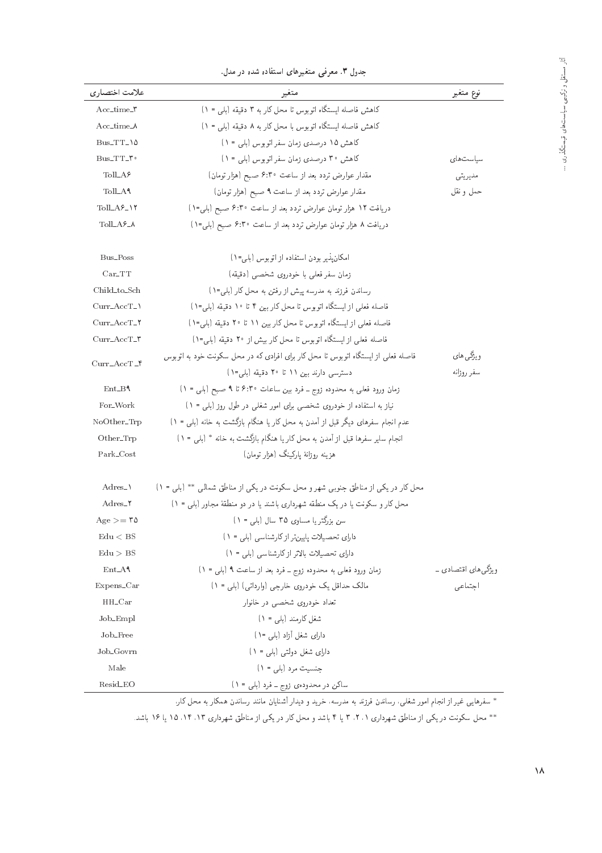|                                | جدول ۳. معرفی متعیرهای استفاده شده در مدل.                                                                                   |                          |
|--------------------------------|------------------------------------------------------------------------------------------------------------------------------|--------------------------|
| علامت اختصاري                  | متغير                                                                                                                        | نوع متغير                |
| $Acc_time$                     | كاهش فاصله ايستگاه اتوبوس تا محل كار به ٣ دقيقه (بلي = ١)                                                                    |                          |
| $Acc\_time\_A$                 | كاهش فاصله ايستگاه اتوبوس با محل كار به ٨ دقيقه (بلي = ١)                                                                    |                          |
| $Bus_TT_{\cdot}$               | كاهش ١٥ درصدى زمان سفر اتوبوس (بلى = ١)                                                                                      |                          |
| Bus_TT_\"                      | كاهش ٣٠ درصدى زمان سفر اتوبوس (بلي = ١)                                                                                      | سياست های                |
| $Toll_Af$                      | مقدار عوارض تردد بعد از ساعت ۶:۳۰ صبح (هزار تومان)                                                                           | مديريتي                  |
| Toll_A <sup>1</sup>            | مقدار عوارض تردد بعد از ساعت ۹ صبح (هزار تومان)                                                                              | حمل و نقل                |
| $T_0$ ll_A $\S$ _\Y            | دریافت ١٢ هزار تومان عوارض تردد بعد از ساعت ۶:۳۰ صبح (بلی=١)                                                                 |                          |
| $Toll_Af_A$                    | دریافت ۸ هزار تومان عوارض تردد بعد از ساعت ۶:۳۰ صبح (بلی=۱)                                                                  |                          |
| Bus_Poss                       | امکان پذیر بودن استفاده از اتوبوس (بلی=١)                                                                                    |                          |
| $Car_TT$                       | زمان سفر فعلى با خودروى شخصى (دقيقه)                                                                                         |                          |
| Child to Sch                   | رساندن فرزند به مدرسه پیش از رفتن به محل کار (بلی=١)                                                                         |                          |
| $Curr\_AccT\_$                 | فاصله فعلي از ايستگاه اتوبوس تا محل كاربين ۴ تا ١٠ دقيقه (بلي-١)                                                             |                          |
| $Curr_AccT_1$                  | فاصله فعلي از ايستگاه اتوبوس تا محل كاربين ١١ تا ٢٠ دقيقه (بلي=١)                                                            |                          |
| $Curr\_AccT_T$                 | فاصله فعلى از ايستگاه اتوبوس تا محل كار بيش از ٢٠ دقيقه (بلي=١)                                                              |                          |
| $Curr\_AccT_f$                 | فاصله فعلی از ایستگاه اتوبوس تا محل کار برای افرادی که در محل سکونت خود به اتوبوس<br>دسترسی دارند بین ۱۱ تا ۲۰ دقیقه (بلی=۱) | ویژگے کھای<br>سفر روزانه |
| $Ent_B$                        | زمان ورود فعلی به محدوده زوج - فرد بین ساعات ۴:۳۰ تا ۹ صبح (بلی = ۱)                                                         |                          |
| For_Work                       | نیاز به استفاده از خودروی شخصی برای امور شغلی در طول روز (بلی = ١)                                                           |                          |
| $NoOther_Trp$                  | عدم انجام سفرهای دیگر قبل از آمدن به محل کار یا هنگام بازگشت به خانه (بلبی = ۱)                                              |                          |
| Other_Trp                      | انجام سایر سفرها قبل از آمدن به محل کار یا هنگام بازگشت به خانه * (بلی = ١)                                                  |                          |
| Park_Cost                      | هزينه روزانة ياركينگ (هزار تومان)                                                                                            |                          |
| $Adres_1$                      | محل کار در یکی از مناطق جنوبی شهر و محل سکونت در یکی از مناطق شمالی ** (بلی = ١)                                             |                          |
| Adres_Y                        | محل کار و سکونت یا در یک منطقه شهرداری باشند یا در دو منطقهٔ مجاور (بلی = ۱)                                                 |                          |
| $\mathrm{Age} >= \texttt{\#0}$ | سن بزرگتر یا مساوی ۳۵ سال (بلبی = ۱)                                                                                         |                          |
| Edu < BS                       | دارای تحصیلات پایین تر از کارشناسی (بلی = ۱)                                                                                 |                          |
| Edu > BS                       | دارای تحصیلات بالاتر از کارشناسی (بلی = ۱)                                                                                   |                          |
| $Ent_A$                        | زمان ورود فعلي به محدوده زوج ـ فرد بعد از ساعت ٩ (بلي = ١)                                                                   | ویژگی های اقتصادی ۔      |
| $Expens_Car$                   | مالک حداقل یک خودروی خارجی (وارداتی) (بلی = ۱)                                                                               | اجتماعى                  |
| $HH_Car$                       | تعداد خودروی شخصی در خانوار                                                                                                  |                          |
| $Job$ $Empl$                   | $( \lambda = ,   \lambda \rangle )$ شغل کارمند (بلي                                                                          |                          |
| Job_Free                       | دارای شغل آزاد (بلبی ۱=۱)                                                                                                    |                          |
| Job <sub>-Govrn</sub>          | دارای شغل دولتی (بلی = ۱)                                                                                                    |                          |
| Male                           | جنسیت مرد (بلی = ۱)                                                                                                          |                          |
| Resid_EO                       | ساکن در محدودهی زوج ـ فرد (بلی = ۱)                                                                                          |                          |

"pot Qo xowo-idu= |<br>"pot Qo xowo-idu= |iQat "3 pwOH" |iQat "3 pwOH" |iQat "3 pwOH" |iQat "3 pwOH" |iQat "3 pwOH" |iQat "3 pwOH" |i

'Q=m pLt x@ Q=mty uOv=UQ Ovv=t u=}=vW; Q=O}O w O} QN 'xUQOt x@ OvRQi uOv=UQ '|reW Qwt= s=Hv= R= Q}e |}=yQiU

\*\* محل سکونت در یکی از مناطق شهرداری ۲، ۲، ۳ یا ۴ باشد و محل کار در یکی از مناطق شهرداری ۱۳، ۱۴، ۱۵ یا ۱۶ باشد.<br>\*\*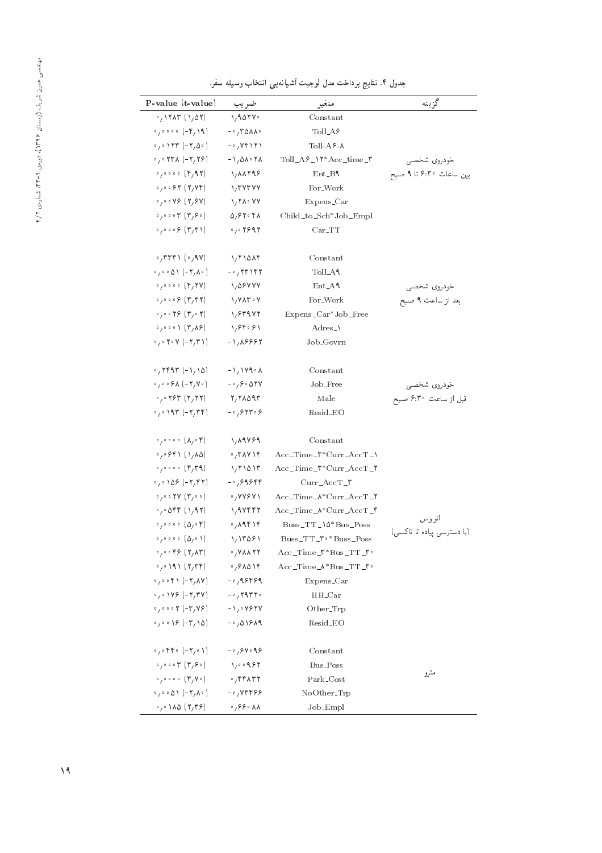| P-value (t-value)                                                                                                                                                                                                                                                                                                                                                                 | ضريب                                                                      | متغير                                              | گز بنه                                   |
|-----------------------------------------------------------------------------------------------------------------------------------------------------------------------------------------------------------------------------------------------------------------------------------------------------------------------------------------------------------------------------------|---------------------------------------------------------------------------|----------------------------------------------------|------------------------------------------|
| $\cdot$ , $\cdot$ , $\cdot$ , $\cdot$ , $\cdot$ , $\cdot$ , $\cdot$ , $\cdot$ , $\cdot$ , $\cdot$ , $\cdot$ , $\cdot$ , $\cdot$ , $\cdot$ , $\cdot$ , $\cdot$ , $\cdot$ , $\cdot$ , $\cdot$ , $\cdot$ , $\cdot$ , $\cdot$ , $\cdot$ , $\cdot$ , $\cdot$ , $\cdot$ , $\cdot$ , $\cdot$ , $\cdot$ , $\cdot$ , $\cdot$ , $\cdot$ , $\cdot$ , $\cdot$ , $\cdot$ , $\cdot$ , $\cdot$ , | 1,907V                                                                    | Constant                                           |                                          |
| $\circ$ , $\circ$ $\circ$ $\circ$ (-r, 19)                                                                                                                                                                                                                                                                                                                                        | $-0.70AA$                                                                 | $Toll_Af$                                          |                                          |
| $\cdot$ , $\cdot$ $\wedge$ $\wedge$ $\wedge$ $\cdot$ $\wedge$                                                                                                                                                                                                                                                                                                                     | $-\cdot$ , $Vf \setminus Y$                                               | $Toll-A5-A$                                        |                                          |
| $\cdot$ , $\cdot$ $\uparrow$ $\uparrow$ $\wedge$ $(-\uparrow,\uparrow \uparrow)$                                                                                                                                                                                                                                                                                                  | $-1,01.71$                                                                | $Toll_Af_N^*Acc_time_N$                            | خودروى شخصي                              |
|                                                                                                                                                                                                                                                                                                                                                                                   | 1, 11798                                                                  | $Ent_B$                                            | بین ساعات ۴.۳۰ تا ۹ صبح                  |
| $0,0.057$ (Y, YF)                                                                                                                                                                                                                                                                                                                                                                 | $\sqrt{r}$ $\sqrt{r}$ $\sqrt{v}$                                          | For_Work                                           |                                          |
| $\cdot$ , $\cdot$ $\cdot$ $\vee$ $\circ$ $($ $\vee$ , $\circ$ $\vee$ )                                                                                                                                                                                                                                                                                                            | $\lambda$ , $\tau \lambda \cdot \nu \nu$                                  | Expens_Car                                         |                                          |
| $\circ$ , $\circ$ $\circ$ $\uparrow$ ( $\uparrow$ , $\circ$ $\circ$ )                                                                                                                                                                                                                                                                                                             | 0,97.7                                                                    | Child_to_Sch*Job_Empl                              |                                          |
| $\circ$ , $\circ \circ \circ \circ (\mathsf{r}, \mathsf{r})$                                                                                                                                                                                                                                                                                                                      | $\cdot$ , $\cdot$ $\cdot$ $\cdot$ $\cdot$                                 | $Car_TTT$                                          |                                          |
| $\cdot$ , ۳۳۳۱ ( $\cdot$ , ۹۷)                                                                                                                                                                                                                                                                                                                                                    | 1,710                                                                     | Constant                                           |                                          |
| $\cdot$ / $\cdot$ 0) (- $\mathsf{Y}, \mathsf{A}, \cdot$ )                                                                                                                                                                                                                                                                                                                         | $-$ <sup>0</sup> / $\uparrow$ $\uparrow$ $\uparrow$ $\uparrow$ $\uparrow$ | Toll_A <sup>1</sup>                                |                                          |
|                                                                                                                                                                                                                                                                                                                                                                                   | 1,08444                                                                   | $Ent_A$                                            | خودروي شخصي                              |
|                                                                                                                                                                                                                                                                                                                                                                                   | $\gamma$ $\gamma$ $\lambda$ $\tau \cdot \gamma$                           | For_Work                                           | بعد از ساعت ۹ صبح                        |
| $0,0.079$ ( $0,0.7$ )                                                                                                                                                                                                                                                                                                                                                             | 1,859.75                                                                  | Expens_Car*Job_Free                                |                                          |
| $\circ$ / $\circ$ $\circ$ $\setminus$ (۳/۸۶)                                                                                                                                                                                                                                                                                                                                      | 1, 84.81                                                                  | $Adres_$                                           |                                          |
| $0,0$ $\uparrow$ $\circ$ $\vee$ $(-\uparrow,\uparrow \uparrow)$                                                                                                                                                                                                                                                                                                                   | $-1,19997$                                                                | Job_Govrn                                          |                                          |
| $\cdot$ , $\mathsf{r}$ $\mathsf{r}$ ( - $\mathsf{r}$ $\mathsf{r}$ $\mathsf{r}$ )                                                                                                                                                                                                                                                                                                  | $-\frac{1}{2}$ $\sqrt{119}$ $\sqrt{11}$                                   | Constant                                           |                                          |
| $\circ$ , $\circ$ $\circ$ $\circ$ $\wedge$ (-Y, Y $\circ$ )                                                                                                                                                                                                                                                                                                                       | $-0.6001$                                                                 | Job_Free                                           |                                          |
|                                                                                                                                                                                                                                                                                                                                                                                   | $Y, Y \wedge \wedge 91$                                                   | Male                                               | خودروي شخصي<br>قبل از ساعت ۶:۳۰ صبح      |
| $0,0,197(-7,77)$                                                                                                                                                                                                                                                                                                                                                                  | $-0.697999$                                                               | Resid_EO                                           |                                          |
| $\circ$ , $\circ$ $\circ$ $\circ$ $\circ$ $( \Lambda , \circ \mathfrak{f})$                                                                                                                                                                                                                                                                                                       | 1,19489                                                                   | Constant                                           |                                          |
| (۱٫۸۵) ۶۴۱(                                                                                                                                                                                                                                                                                                                                                                       | $\cdot$ , ۳۸۷۱۴                                                           | $Acc\_Time_$ *Curr_AccT_                           |                                          |
| $\circ$ , $\circ$ $\circ$ $\circ$ ( $\circ$ , $\uparrow$ 9)                                                                                                                                                                                                                                                                                                                       | 1/71017                                                                   | Acc_Time_\**Curr_AccT_\*                           |                                          |
| $.709 (-777)$                                                                                                                                                                                                                                                                                                                                                                     | $-0.69888$                                                                | $Curr$ <sub>-Acc</sub> $T$ <sub>-</sub> $\uparrow$ |                                          |
| $\circ$ , $\circ$ $\circ$ $\uparrow$ $\vee$ $(\uparrow$ , $\circ$ $\circ$ )                                                                                                                                                                                                                                                                                                       | $\cdot$ , $\vee \vee \vee \vee$                                           | $Acc\_Time_\text{A*Current\_AccT\_Y$               |                                          |
| $\cdot$ , $\cdot$ $\Delta$ FF $( \lambda$ , 9.7)                                                                                                                                                                                                                                                                                                                                  | $\lambda$ , avrry                                                         | $Acc\_Time_\text{A*Current\_AccT_\text{A}}$        |                                          |
| $\circ$ , $\circ$ $\circ$ $\circ$ $\circ$ $(\Delta) \circ$ $\uparrow$ )                                                                                                                                                                                                                                                                                                           | .719818                                                                   | Buss_TT_\\0*Bus_Poss                               | اتوبوس                                   |
| $\circ$ , $\circ$ $\circ$ $\circ$ $\circ$ $(\Delta) \circ \Lambda$                                                                                                                                                                                                                                                                                                                | 1/17081                                                                   | Buss_TT_\"*Buss_Poss                               | (با دسترسی پیاده تا تاکس <sub>و،</sub> ) |
|                                                                                                                                                                                                                                                                                                                                                                                   | $\cdot$ , $V$ $\wedge$ $\wedge$ $\wedge$ $\wedge$                         | Acc_Time_\*Bus_TT_\**                              |                                          |
| 0,0.191 (7,77)                                                                                                                                                                                                                                                                                                                                                                    | .781018                                                                   | Acc_Time_A*Bus_TT_\*                               |                                          |
| $\circ$ , $\circ$ $\circ$ $f \cap (-Y, \Lambda V)$                                                                                                                                                                                                                                                                                                                                | $-0.99999$                                                                | Expens_Car                                         |                                          |
| $0,0.149 (-7,74)$                                                                                                                                                                                                                                                                                                                                                                 | $-0.79770$                                                                | $HH_Car$                                           |                                          |
| $0,0005$ (-T, YS)                                                                                                                                                                                                                                                                                                                                                                 | $-\lambda$ <sub>/</sub> · $V$ ۶۲۷                                         | Other <sub>-Trp</sub>                              |                                          |
| $0,00005$ (-T, 10)                                                                                                                                                                                                                                                                                                                                                                | $-0,01919$                                                                | Resid_EO                                           |                                          |
|                                                                                                                                                                                                                                                                                                                                                                                   |                                                                           |                                                    |                                          |
| $0,0$ $($ $ \uparrow$ $/$ $0$ $\uparrow$ $)$                                                                                                                                                                                                                                                                                                                                      | $-0.6409$                                                                 | Constant                                           |                                          |
| $0,00000$ $(\mu, \rho)$                                                                                                                                                                                                                                                                                                                                                           | $\Lambda$ , $\circ$ $\circ$ 9.87                                          | Bus_Poss                                           |                                          |
| $\circ$ , $\circ$ $\circ$ $\circ$ $(f, Y \circ)$                                                                                                                                                                                                                                                                                                                                  | .67577                                                                    | Park_Cost                                          | مترو                                     |
| $\cdot$ / $\cdot$ 0) (- $\mathsf{Y}, \mathsf{A} \cdot$ )                                                                                                                                                                                                                                                                                                                          | $-0.74488$                                                                | NoOther_Trp                                        |                                          |
| 0,0.110 (7,79)                                                                                                                                                                                                                                                                                                                                                                    | $\cdot$ , $55 \cdot \lambda \lambda$                                      | Job_Empl                                           |                                          |

جدول ۴. نتایج پرداخت مدل لوجیت آشیانهیی انتخاب وسیله سفر.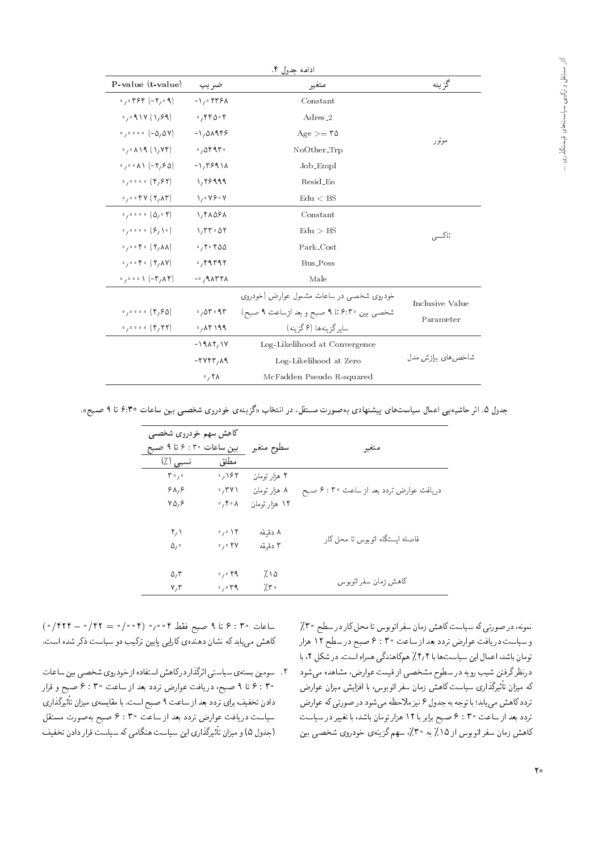|                                                 |                                                            | ادامه حدول ۴.                              |                    |
|-------------------------------------------------|------------------------------------------------------------|--------------------------------------------|--------------------|
| $P-value$ (t-value)                             | ضريب                                                       | متغير                                      | گزينه              |
| $0,04996(-7,09)$                                | $-1.0779A$                                                 | Constant                                   |                    |
| 0,091V(1,99)                                    | .5000                                                      | Adres <sub>2</sub>                         |                    |
| $0,0000(-\Delta/\Delta V)$                      | $-1,01999$                                                 | $Age \geq 70$                              | موتور              |
| $0,0,0,19$ $(1,95)$                             | .00997                                                     | NoOther_Trp                                |                    |
| $0,000 \text{ A}$ (- $7,90$ )                   | $-1.7991A$                                                 | Job_Empl                                   |                    |
| 0,0000 (9,97)                                   | 1,78999                                                    | Resid_Eo                                   |                    |
|                                                 | $\lambda_1 \cdot \lambda_2 \cdot \lambda_1$                | Edu < BS                                   |                    |
| $0,0000$ $(\Delta,0.7)$                         | $\lambda$ , $\gamma$ $\lambda$ $\Delta$ $\gamma$ $\lambda$ | Constant                                   |                    |
|                                                 | $\lambda$ , $\Gamma\Gamma \cdot \Delta Y$                  | Edu > BS                                   | تاكسى              |
| $0,0000$ (Y, AA)                                | .7.7.90                                                    | Park_Cost                                  |                    |
| $0,0000$ (Y, AV)                                | .79999                                                     | Bus_Poss                                   |                    |
| $0,000$ (-T, $(\mathcal{N})$ )                  | $-0.9$ $\Lambda$ $\Gamma$ $\Gamma$ $\Lambda$               | Male                                       |                    |
|                                                 |                                                            | خودروی شخصی در ساعات مشمول عوارض (خودروی   | Inclusive Value    |
| $0,0000$ ( $\uparrow$ , $\uparrow$ $\uparrow$ ) | .000000                                                    | شخصی بین ۴:۳۰ تا ۹ صبح و بعد ازساعت ۹ صبح) |                    |
| $0,0000$ ( $\uparrow$ , $\uparrow \uparrow$ )   | .70919                                                     | سایر گزینهها (۶ گزینه)                     | Parameter          |
|                                                 | $-19AY,1Y$                                                 | Log-Likelihood at Convergence              |                    |
|                                                 | $-11477,09$                                                | Log-Likelihood at Zero                     | شاخص های برازش مدل |
|                                                 | $\cdot$ , ۲۸                                               | McFadden Pseudo R-squared                  |                    |
|                                                 |                                                            |                                            |                    |

جدول ۵. اثر حاشیه یی اعمال سیاستهای پیشنهادی بهصورت مستقل، در انتخاب «گزینهی خودروی شخصی بین ساعات ۴:۳۰ تا ۹ صبح».

| کاهش سهم خودروی شخصبی<br>بین ساعات ۴۰: ۶ تا ۹ صبح |                                   | سطوح متغير    | متغير                                   |  |
|---------------------------------------------------|-----------------------------------|---------------|-----------------------------------------|--|
| نسبي (٪)                                          | مطلق                              |               |                                         |  |
| $\mathbf{r} \cdot \mathbf{r}$                     | $\cdot$ / ۱۶۲                     | ۴ هزار تومان  |                                         |  |
| 9A, 9                                             | $\cdot$ ,۳۷۱                      | ۸ هزار تومان  | دریافت عوارض تردد بعد از ساعت ۴ : ۴ صبح |  |
| $Y\Delta$ , $\epsilon$                            | $\circ$ , $\uparrow \circ \wedge$ | ۱۲ هزار تومان |                                         |  |
| $\mathsf{Y}\setminus\mathsf{Y}$                   | $\cdot$ , $\cdot$ \ ۲             | ۸ دقىقە       |                                         |  |
| $\Delta$ , $\circ$                                | $\cdot$ , $\cdot$ YV              | ۳ دقىقە       | فاصله ايستگاه اتوبوس تا محل كار         |  |
| $\Delta, \tau$                                    | $\cdot$ , $\cdot$ 19              | ۷۵٪           |                                         |  |
| $V, \tau$                                         | $\cdot$ , $\cdot$ rq              | 7.5           | كاهش زمان سفر اتوبوس                    |  |

 $(\circ /$  104  $\circ$  9 : 30 ) مسلم فقط 6 0 0 0 (004 = 0 104 /0 = 104 /0) کاهش میLیابد که نشان دهندهی کارایی پایین ترکیب دو سیاست ذکر شده است.

۴. سومین بستهی سیاستی اثرگذار درکاهش استفاده از خودروی شخصبی بین ساعات ۴ : ۶ تا ۹ صبح، دریافت عوارض تردد بعد از ساعت ۴ : ۳ صبح و قرار دادن تخفیف برای تردد بعد از ساعت ۹ صبیح است. با مقایسهی میزان تاثیردداری<br>- است میدان و ساخت و است و است است و ساخت و هم سیاست دریافت عوارض تردد بعد از ساعت ۴ : ۶ صبح بهصورت مستقل (جدول ۵) و میزان تأتیردداری این سیاست هندامی ده سیاست فرار دادن تخفیف<br>ا

نمونه، در صورتی که سیاست کاهش زمان سفر اتوبوس تا محل کار در سطح ۳۰٪ و سیاست دریافت عوارض تردد بعد از ساعت ۴ : ۶ صبح در سطح ۱۲ هزار تومان باشد، اعمال این سیاست ها با ۴٫۴٪ هم کاهندگی همراه است. در شکل ۲، با درنظرگرفتن شیب رویه در سطوح مشخصی از قیمت عوارض، مشاهده می شود ZQ=wa u=R}tV}=Ri= =@ 'Tw@wD= QiU u=tRVy=m CU=}U |Q=PoQ}F -=D u=R}t xm تردد كاهش مى يابد؛ با توجه به جدول ۶ نيز ملاحظه مى شود در صورتى كه عوارض تردد بعد از ساعت ۴ : ۶ صبح برابر با ۱۲ هزار تومان باشد، با تغییر در سیاست کاهش زمان سفر اتوبوس از ۱۵٪ به ۳۰٪، سهم گزینهی خودروی شخصی بین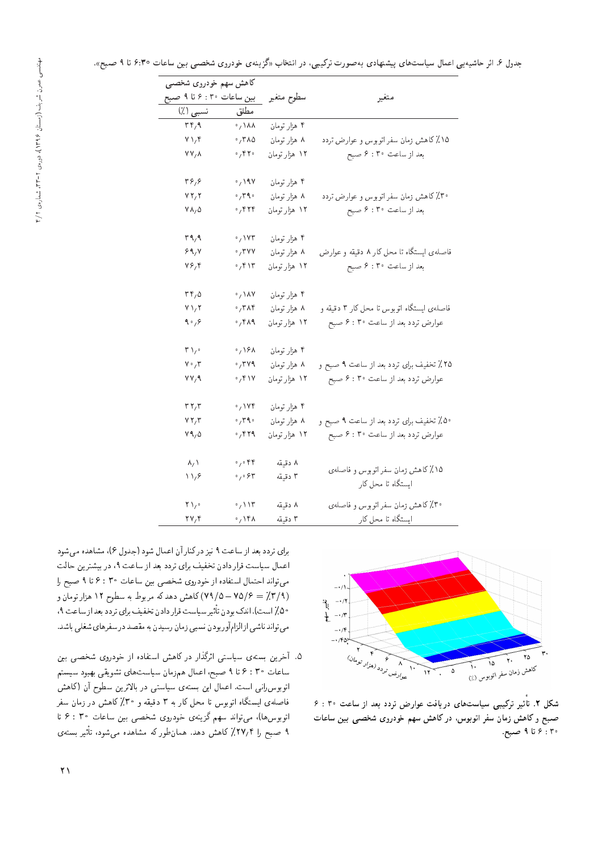| کاهش سهم خودروی شخصی                   |                                              |               |                                                         |
|----------------------------------------|----------------------------------------------|---------------|---------------------------------------------------------|
| بین ساعات ۴۰: ۶ تا ۹ صبح               |                                              | سطوح متغير    | متغير                                                   |
| نسبي (٪)                               | مطلق                                         |               |                                                         |
| $\mathbf{r} \mathbf{r}$ , $\mathbf{q}$ | $\phi$ / $\lambda\lambda$                    | ۴ هزار تومان  |                                                         |
| $V \setminus f$                        | $\cdot$ , $\mathsf{r}$ $\wedge$              | ۸ هزار تومان  | ۱۵٪ کاهش زمان سفر اتوبوس و عوارض تردد                   |
| $YY/\lambda$                           | $\cdot$ , $\mathsf{r}$ $\mathsf{r}$          | ۱۲ هزار تومان | بعد از ساعت ۴۰٪ صبح                                     |
| ۳۶٫۶                                   | $\frac{1}{2}$ 197                            | ۴ هزار تومان  |                                                         |
| VT/7                                   | $\cdot$ , ۳۹ $\cdot$                         | ۸ هزار تومان  | ۳۰٪ کاهش زمان سفر اتوبوس و عوارض تردد                   |
| $V \wedge_{1} \Delta$                  | $\cdot$ , $\mathsf{FT}$                      | ۱۲ هزار تومان | بعد از ساعت ۴: ۴ صبح                                    |
| ۳۹٫۹                                   | $\cdot$ , $\vee$ Yr                          | ۴ هزار تومان  |                                                         |
| ۶۹٬۷                                   | $\cdot$ , $\mathsf{r}$ vv                    | ۸ هزار تومان  | فاصلهى ايستگاه تا محل كار ۸ دقيقه و عوارض               |
| $Y$ ۶٫۴                                | $\cdot$ / ۴۱۳                                | ۱۲ هزار تومان | بعد از ساعت ۴: ۶ صبح                                    |
| ۳۴٫۵                                   | $\cdot$ , $\lambda$ V                        | ۴ هزار تومان  |                                                         |
| $Y \setminus Y$                        | $\cdot$ , $\mathsf{r}$ $\wedge \mathsf{r}$   | ۸ هزار تومان  | فاصلهى ايستگاه اتوبوس تا محل كار ۳ دقيقه و              |
| ۹۰٫۶                                   | $\cdot$ , ۴۸۹                                | ۱۲ هزار تومان | عوارض تردد بعد از ساعت ۴: ۶ صبح                         |
| $\mathsf{r}_{\lambda}$                 | $\cdot$ , 191                                | ۴ هزار تومان  |                                                         |
| $\mathsf{v}\cdot\mathsf{y}\mathsf{r}$  | $\cdot$ , $\mathsf{r}$ va                    | ۸ هزار تومان  | ۲۵٪ تخفیف برای تردد بعد از ساعت ۹ صبح و                 |
| VV, 9                                  | $\cdot$ , $\mathfrak{f} \wedge \mathfrak{f}$ | ۱۲ هزار تومان | عوارض تردد بعد از ساعت ۴: ۶ صبح                         |
| ۳۲٫۳                                   | $\cdot$ , ۱۷۴                                | ۴ هزار تومان  |                                                         |
| VT/T                                   | $\cdot$ , $\mathsf{r}\, \mathsf{q}\, \cdot$  | ۸ هزار تومان  | ۵۰٪ تخفیف برای تردد بعد از ساعت ۹ صبح و                 |
| ۷۹,۵                                   | $\cdot$ , ۴۲۹                                | ۱۲ هزار تومان | عوارض تردد بعد از ساعت ۴ : ۶ صبح                        |
| $\lambda/$ $\lambda$                   | $\circ$ , $\circ$ $\uparrow \uparrow$        | ۸ دقیقه       |                                                         |
| ۱۱٬۶                                   | $\mathfrak{g}_{\gamma}$ , $\mathfrak{F}$     | ٣ دقيقه       | ۱۵٪ کاهش زمان سفر اتوبوس و فاصلهی<br>ایستگاه تا محل کار |
| ۲۱٫۰                                   | $\cdot$ / $\vee$                             | ۸ دقیقه       | ۳۰٪ کاهش زمان سفر اتوبوس و فاصلهی                       |
| ۲۷٬۴                                   | $\cdot$ , ۱۴۸                                | ۳ دقیقه       | ایستگاه تا محل کار                                      |
|                                        |                                              |               |                                                         |



شکل ۲. تاثیر ترکیبی سیاستهای دریافت عوارض تردد بعد از ساعت ۳۰ : ۶<br>سرمایی ب صبح و کاهش زمان سفر اتوبوس، در کاهش سهم خودروی شخصبی بین ساعات  $\mathcal{R}$  : ۶ تا ۹ صبح:

برای تردد بعد از ساعت ۹ نیز درکنار آن اعمال شود (جدول ۶)، مشاهده می شود اعمال سیاست قرار دادن تخفیف برای تردد بعد از ساعت ۹، در بیشترین حالت مى تواند احتمال استفاده از خودروى شخصى بين ساعات ۴ : ۶ تا ۹ صبح را (۳/۹ ـ ۷۵/۶ ــ ۷۹/۵) کاهش دهدکه مربوط به سطوح ۱۲ هزار تومان و '9Ca=UR=Oa@OOQD|=Q@h}iND uO=OQ=QkCU=}U Q}F -=D uOw@ lOv= "CU= 50 می تواند ناشبی از الزام آور بودن نسببی زمان رسیدن به مقصد در سفرهای شغلبی باشد.

۵. أخرين بستهى سياستى اثرگذار در كاهش استفاده از خودروى شخصى بين ساعات ٩٠ : ۶ تا ٩ صبح، اعمال همزمان سياستهاي تشويقي بهبود سيستم اتوبوس رانی است. اعمال این بستهی سیاستی در بالاترین سطوح آن (کاهش فاصلهى ايستگاه اتوبوس تا محل كار به ۳ دقيقه و °۳٪ كاهش در زمان سفر اتوبوس ها)، می تواند سهم گزینهی خودروی شخصی بین ساعات °C : ۶ تا ۲ صبح را ۲۷٫۲٪ کاهش دهد. همانطور که مشاهده میشود، تاتیر بستهی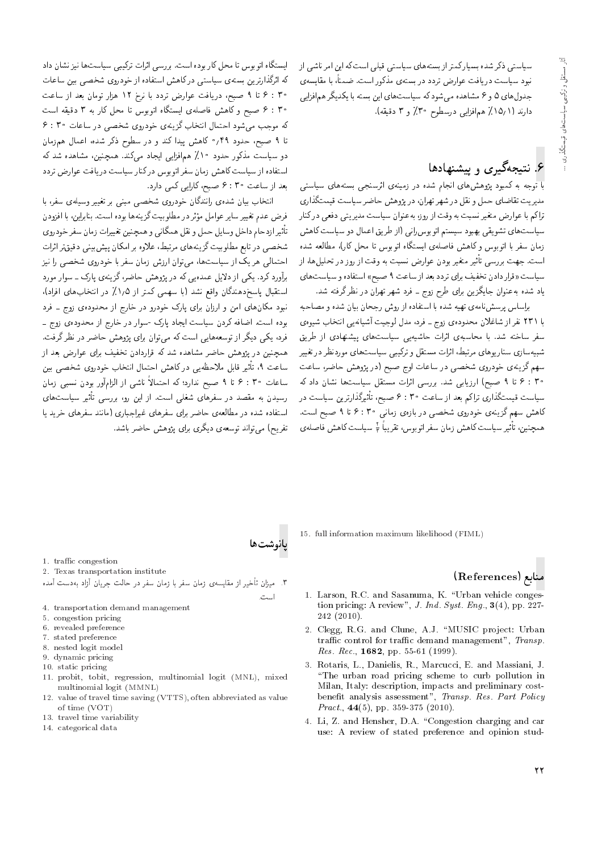سیاستی ذکر شده بسیارکمتراز بستههای سیاستی قبلی است که این امر ناشی از<br>نبود سیاست دریافت عوارض تردد در بستهی مذکور است. ضمناً، با مقایسهی نبود سیاست دریافت عوارض تردد در بستهی مددور است. ضمنا، با مقایسهی<br>مسئل استفاده میشود و است جدول های تا و 7 مساهده می سود ته سیاست های این بسته با یکدیگر هم افزایی<br>این دد مدد: ساختان استان می توانید و ساختان دارند (١٥/١٪ همافزايي درسطوح ٣٠٪ و ٣ دقيقه).

# ۶. نتیجهگیری و پیشنهادها

با توجه به کمبود پژوهش های انجام شده در زمینهی اثرسنجی بستههای سیاستی مدیریت تقاضای حمل و نقل در شهر تهران، در پژوهش حاضر سیاست قیمتگذاری<br>تراکم با عوارض متغیر نسبت به وقت از روز، بهعنوان سیاست مدیریتی دفعی درکنار برا تم با عوارض منغیر سنیت به وقت از روز، به عنوان سیاست مدیریتی دفعی در تنار<br>سال میسیسیسیسی سیاست های سنویقی بهبود سیستم انوبوس رانی ااز طریق اعمال دو سیاست تاهس<br>ساحت ایران زمان سفر با انوبوس و داهس قاصدهی ایستداه انوبوس با محل کارا)، مطالعه سده<br>احتماد است است. جهت بررسی تاتیر متغیر بودن عوارض نسبت به وقت از روز در تحلیلها، از<br>است. حمایت است: نسبت است سیاست «قرار دادن تخفیف برای تردد بعد از ساعت ۹ صبح» استفاده و سیاست های یاد شده بهعنوان جایگزین برای طرح زوج ــ فرد شهر تهران در نظر گرفته شد.<br>براساس پرسش:امهی تهیه شده با استفاده از روش رجحان بیان شده و مصاحبه

براساس پرسس نامهی بهیه سده با استفاده از روس رجحان بیان سده و مصاحبه<br>دی بنیاب داراید با ۱۱۱ نفر از ساعلان محدودهی زوج ـ قرد، مدل نوجیت اسیانهیی اسحاب سیوهی<br>مسیح این مدین است استان افراد ساله سفر ساخته سد. با محاسبهی ایراب خاسیهیی سیاست های پیستهادی از طریق<br>. سبیهسازی سار یوهای مربیط، ایراب مستقل و برلیبی سیاست های موردنظر در تغییر<br>گ سهم گزینهی خودروی شخصی در ساعات اوج صبح (در پژوهش حاضر، ساعت  $\cdot$ ۳ × تا ۹ صبح) ارزیابی شد. بررسی اثرات مستقل سیاستها نشان داد که سیاست قیمتگذاری تراکم بعد از ساعت ۴۰ : ۶ صبح، تاثیرگذارترین سیاست در<br>کار دست گرمینی میشدند و میشدند با کاهش سهم گزینهی خودروی شخصی در بازهی زمانی ۴ : ۶ تا ۹ صبح است. ہمچنین، تأثیر سیاست کاہش زمان سفر اتوبوس، تقریباً لخ سیاست کاہش فاصلہی<br>۔

ایستگاه آنوبوس با محل کار بوده است. بررسی آنژات برگیبی سیاستگاه نیز ستان داد<br>سرایه گذاری ته ابرتداربرین بسته ی سیاستی در ناهش استفاده از خودروی سخصتی بین ساعات<br>سوم ماره و ۴ : ۶ تا ۹ صبح، دريافت عوارض تردد با نرخ ١٢ هزار تومان بعد از ساعت .<br>۴ : ۶ صبح وكاهش فاصلهى ايستگاه اتوبوس تا محل كار به ۳ دقيقه است که موجب میشود احتمال انتخاب گزینهی خودروی شخصی در ساعات ۴: ۶ تا ۹ صبح، حدود ۴۹٫° کاهش پیدا کند و در سطوح ذکر شده، اعمال همزمان دو سیاست مذکور حدود ۱۰٪ همافزایی ایجاد میکند. همچنین، مشاهده شد که استفاده از سیاست کاهش زمان سفر اتوبوس درکنار سیاست دریافت عوارض تردد بعد از ساعت ۴ : ۶ صبح، كارايي كمي دارد.

انتخاب بیان شدهی رانندگان خودروی شخصی مبنی بر تغییر وسیلهی سفر، با<br>فرض عدم تغییر سایر عوامل مؤثر در مطلوبیت گزینهها بوده است. بنابراین، با افزودن درص عدم تعییر سایر عوامل موثر در مصوبیت درینه ها بوده است. بنابراین، با افزودن<br>-ا<sup>ه</sup> ازدر از دارای سایل میکند که از کار میده به بین است باید نیمه در تاثیر ازدحام داخل وسایل حمل و نقل همکانی و همچنین تعییرات زمان سفر خودروی<br>میدند: سیاست با است گریند است و استاد و است سخصی در نابع مطلوبیت نزیمهای مرتبط، علاوه بر امکان پیس بینی دفیق را اراب<br>استان R}v =Q |YNW |wQOwN =@ QiU u=tR VRQ= u=wD|t '=yCU=}U R= l} Qy |r=tDL= برآورد کرد. یکی از دلایل عمده یی که در پژوهش حاضر، گزینهی پارک ــ سوار مورد استقبال پاسخدهندگان واقع نشد (با سهمی کمتر از ۱٫۵٪ در انتخابهای افراد). نبود مکان های امن و ارزان برای پارک خودرو در خارج از محدوده یزوج ـ فرد بوده است. اضافه کردن سیاست ایجاد پارک -سوار در خارج از محدودهی زوج ـ<br>فرد، یکمی دیگر از توسعههایی است که می;توان برای یژوهش حاضر در نظر گرفت. "CiQo Q\_v QO Q[=L VywSB |=Q@ u=wD|t xm CU= |}=yxaUwD R= Qo}O |m} 'OQi همچنین در پژوهس خاصر مساهده سد که فراردادن نخفیف برای غوارض بعد از<br>با به هموانه حال این نامی کاربر با به الموانستان بیر قابل ملاحظهیی در ناهس احتمال اسحاب خودروی سخصی بین<br>مصطرف المصدر المصدر المسافر المصدر المستقل ساعت ۹، تأثير قابل ملاحظهيى دركاهش احتمال انتخاب خودروى شخصى بين ناسی از الزاماور بودن نسبی زمان<br>-ساعات ۴۰ تا ۹ صبح ندارد؛ که احتمالا<br>مساحلت رسیدن به مقصد در سفرهای شغلی است. از این رو، بررسی تاتیر سیاستهای<br>استان بودن ایران استفاده شده در مطالعه، حاضر براى سفرهاى غيراجبارى (مانند سفرهاى خريد يا تفریح) می تواند توسعهی دیگری برای یژوهش حاضر باشد.

15. full information maximum likelihood (FIML)

#### منابع (References)

- 1. Larson, R.C. and Sasanuma, K. \Urban vehicle congestion pricing: A review", J. Ind. Syst. Eng.,  $3(4)$ , pp. 227-242 (2010).
- 2. Clegg, R.G. and Clune, A.J. "MUSIC project: Urban traffic control for traffic demand management", Transp. *Res. Rec.*, **1682**, pp. 55-61 (1999).
- 3. Rotaris, L., Danielis, R., Marcucci, E. and Massiani, J. \The urban road pricing scheme to curb pollution in Milan, Italy: description, impacts and preliminary costbenefit analysis assessment", Transp. Res. Part Policy *Pract.*,  $44(5)$ , pp. 359-375 (2010).
- 4. Li, Z. and Hensher, D.A. \Congestion charging and car use: A review of stated preference and opinion stud-
- 1. traffic congestion
- 2. Texas transportation institute
- x. میزان تأخیر از مقایسه ی زمان سفر با زمان سفر در حالت حریان آزاد بهدست آمده ا ست.

پانوشتها

- 4. transportation demand management
- 5. congestion pricing
- 6. revealed preference
- 7. stated preference
- 8. nested logit model 9. dynamic pricing
- 10. static pricing
- 
- 11. probit, tobit, regression, multinomial logit (MNL), mixed multinomial logit (MMNL)
- 12. value of travel time saving (VTTS), often abbreviated as value of time (VOT)
- 13. travel time variability
- 14. categorical data